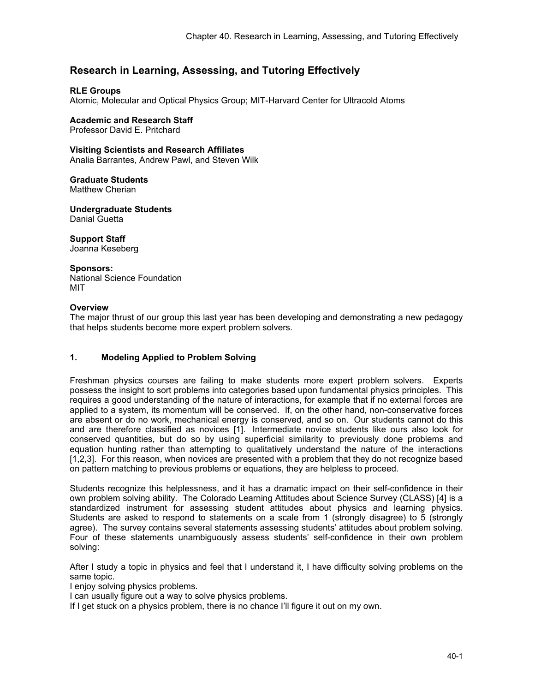# **Research in Learning, Assessing, and Tutoring Effectively**

### **RLE Groups**

Atomic, Molecular and Optical Physics Group; MIT-Harvard Center for Ultracold Atoms

## **Academic and Research Staff**

Professor David E. Pritchard

#### **Visiting Scientists and Research Affiliates**

Analia Barrantes, Andrew Pawl, and Steven Wilk

#### **Graduate Students**  Matthew Cherian

**Undergraduate Students**  Danial Guetta

**Support Staff**  Joanna Keseberg

#### **Sponsors:**

National Science Foundation MIT

#### **Overview**

The major thrust of our group this last year has been developing and demonstrating a new pedagogy that helps students become more expert problem solvers.

### **1. Modeling Applied to Problem Solving**

Freshman physics courses are failing to make students more expert problem solvers. Experts possess the insight to sort problems into categories based upon fundamental physics principles. This requires a good understanding of the nature of interactions, for example that if no external forces are applied to a system, its momentum will be conserved. If, on the other hand, non-conservative forces are absent or do no work, mechanical energy is conserved, and so on. Our students cannot do this and are therefore classified as novices [1]. Intermediate novice students like ours also look for conserved quantities, but do so by using superficial similarity to previously done problems and equation hunting rather than attempting to qualitatively understand the nature of the interactions [1,2,3]. For this reason, when novices are presented with a problem that they do not recognize based on pattern matching to previous problems or equations, they are helpless to proceed.

Students recognize this helplessness, and it has a dramatic impact on their self-confidence in their own problem solving ability. The Colorado Learning Attitudes about Science Survey (CLASS) [4] is a standardized instrument for assessing student attitudes about physics and learning physics. Students are asked to respond to statements on a scale from 1 (strongly disagree) to 5 (strongly agree). The survey contains several statements assessing students' attitudes about problem solving. Four of these statements unambiguously assess students' self-confidence in their own problem solving:

After I study a topic in physics and feel that I understand it, I have difficulty solving problems on the same topic.

I enjoy solving physics problems.

I can usually figure out a way to solve physics problems.

If I get stuck on a physics problem, there is no chance I'll figure it out on my own.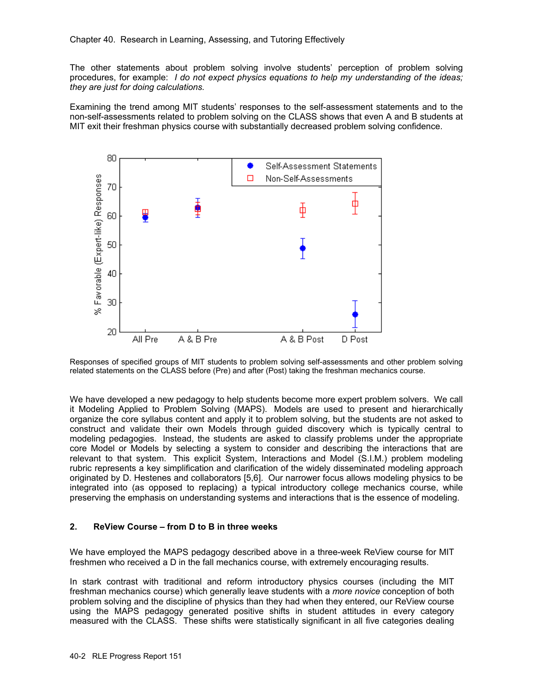The other statements about problem solving involve students' perception of problem solving procedures, for example: *I do not expect physics equations to help my understanding of the ideas; they are just for doing calculations.* 

Examining the trend among MIT students' responses to the self-assessment statements and to the non-self-assessments related to problem solving on the CLASS shows that even A and B students at MIT exit their freshman physics course with substantially decreased problem solving confidence.



Responses of specified groups of MIT students to problem solving self-assessments and other problem solving related statements on the CLASS before (Pre) and after (Post) taking the freshman mechanics course.

We have developed a new pedagogy to help students become more expert problem solvers. We call it Modeling Applied to Problem Solving (MAPS). Models are used to present and hierarchically organize the core syllabus content and apply it to problem solving, but the students are not asked to construct and validate their own Models through guided discovery which is typically central to modeling pedagogies. Instead, the students are asked to classify problems under the appropriate core Model or Models by selecting a system to consider and describing the interactions that are relevant to that system. This explicit System, Interactions and Model (S.I.M.) problem modeling rubric represents a key simplification and clarification of the widely disseminated modeling approach originated by D. Hestenes and collaborators [5,6]. Our narrower focus allows modeling physics to be integrated into (as opposed to replacing) a typical introductory college mechanics course, while preserving the emphasis on understanding systems and interactions that is the essence of modeling.

#### **2. ReView Course – from D to B in three weeks**

We have employed the MAPS pedagogy described above in a three-week ReView course for MIT freshmen who received a D in the fall mechanics course, with extremely encouraging results.

In stark contrast with traditional and reform introductory physics courses (including the MIT freshman mechanics course) which generally leave students with a *more novice* conception of both problem solving and the discipline of physics than they had when they entered, our ReView course using the MAPS pedagogy generated positive shifts in student attitudes in every category measured with the CLASS. These shifts were statistically significant in all five categories dealing